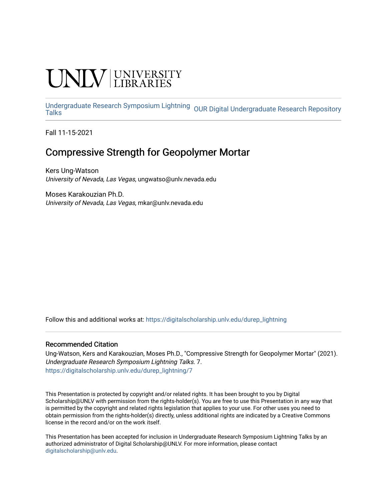# **INIVERSITY**

[Undergraduate Research Symposium Lightning](https://digitalscholarship.unlv.edu/durep_lightning) OUR Digital Undergraduate Research Repository

Fall 11-15-2021

# Compressive Strength for Geopolymer Mortar

Kers Ung-Watson University of Nevada, Las Vegas, ungwatso@unlv.nevada.edu

Moses Karakouzian Ph.D. University of Nevada, Las Vegas, mkar@unlv.nevada.edu

Follow this and additional works at: [https://digitalscholarship.unlv.edu/durep\\_lightning](https://digitalscholarship.unlv.edu/durep_lightning?utm_source=digitalscholarship.unlv.edu%2Fdurep_lightning%2F7&utm_medium=PDF&utm_campaign=PDFCoverPages) 

#### Recommended Citation

Ung-Watson, Kers and Karakouzian, Moses Ph.D., "Compressive Strength for Geopolymer Mortar" (2021). Undergraduate Research Symposium Lightning Talks. 7. [https://digitalscholarship.unlv.edu/durep\\_lightning/7](https://digitalscholarship.unlv.edu/durep_lightning/7?utm_source=digitalscholarship.unlv.edu%2Fdurep_lightning%2F7&utm_medium=PDF&utm_campaign=PDFCoverPages) 

This Presentation is protected by copyright and/or related rights. It has been brought to you by Digital Scholarship@UNLV with permission from the rights-holder(s). You are free to use this Presentation in any way that is permitted by the copyright and related rights legislation that applies to your use. For other uses you need to obtain permission from the rights-holder(s) directly, unless additional rights are indicated by a Creative Commons license in the record and/or on the work itself.

This Presentation has been accepted for inclusion in Undergraduate Research Symposium Lightning Talks by an authorized administrator of Digital Scholarship@UNLV. For more information, please contact [digitalscholarship@unlv.edu](mailto:digitalscholarship@unlv.edu).